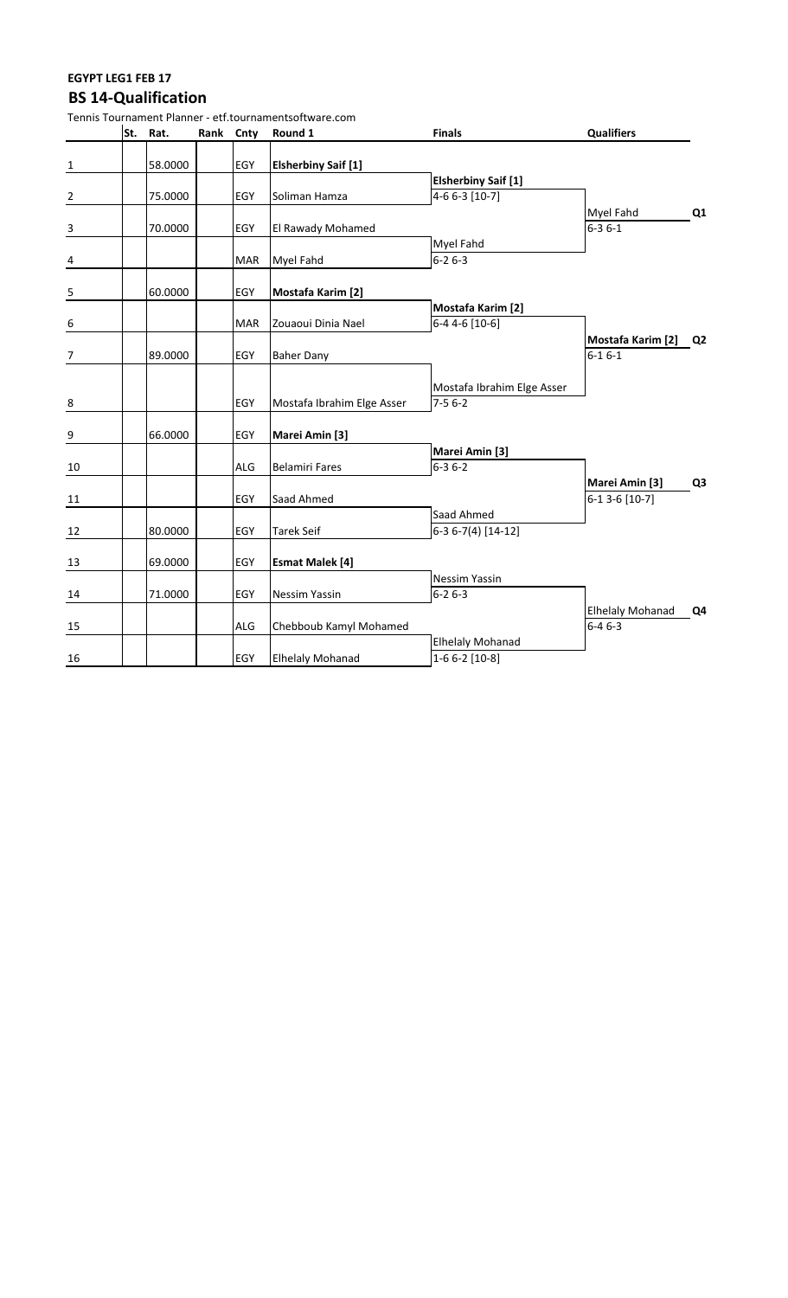### **EGYPT LEG1 FEB 17 BS 14-Qualification**

|                          |          |           |            | Tennis Tournament Planner - etf.tournamentsoftware.com |                                              |                                      |                |
|--------------------------|----------|-----------|------------|--------------------------------------------------------|----------------------------------------------|--------------------------------------|----------------|
|                          | St. Rat. | Rank Cnty |            | Round 1                                                | <b>Finals</b>                                | <b>Qualifiers</b>                    |                |
| $\overline{\mathbf{1}}$  | 58.0000  |           | <b>EGY</b> | <b>Elsherbiny Saif [1]</b>                             |                                              |                                      |                |
| $\overline{2}$           | 75.0000  |           | EGY        | Soliman Hamza                                          | <b>Elsherbiny Saif [1]</b><br>4-6 6-3 [10-7] |                                      |                |
| $\frac{3}{2}$            | 70.0000  |           | EGY        | El Rawady Mohamed                                      |                                              | Myel Fahd<br>$6 - 36 - 1$            | Q <sub>1</sub> |
| $\frac{4}{1}$            |          |           | <b>MAR</b> | Myel Fahd                                              | Myel Fahd<br>$6 - 26 - 3$                    |                                      |                |
| $\overline{\phantom{0}}$ | 60.0000  |           | EGY        | Mostafa Karim [2]                                      |                                              |                                      |                |
| $\overline{6}$           |          |           | <b>MAR</b> | Zouaoui Dinia Nael                                     | Mostafa Karim [2]<br>6-4 4-6 [10-6]          |                                      |                |
| $\frac{7}{2}$            | 89.0000  |           | EGY        | <b>Baher Dany</b>                                      |                                              | Mostafa Karim [2] Q2<br>$6 - 16 - 1$ |                |
| $\bf 8$                  |          |           | EGY        | Mostafa Ibrahim Elge Asser                             | Mostafa Ibrahim Elge Asser<br>$7-56-2$       |                                      |                |
| 9                        | 66.0000  |           | EGY        | Marei Amin [3]                                         |                                              |                                      |                |
| 10                       |          |           | <b>ALG</b> | <b>Belamiri Fares</b>                                  | Marei Amin [3]<br>$6 - 36 - 2$               |                                      |                |
| 11                       |          |           | EGY        | Saad Ahmed                                             |                                              | Marei Amin [3]<br>6-1 3-6 [10-7]     | Q <sub>3</sub> |
| 12                       | 80.0000  |           | EGY        | <b>Tarek Seif</b>                                      | Saad Ahmed<br>6-3 6-7(4) [14-12]             |                                      |                |
| 13                       | 69.0000  |           | <b>EGY</b> | <b>Esmat Malek [4]</b>                                 |                                              |                                      |                |
| 14                       | 71.0000  |           | EGY        | <b>Nessim Yassin</b>                                   | Nessim Yassin<br>$6 - 26 - 3$                |                                      |                |
| 15                       |          |           | <b>ALG</b> | Chebboub Kamyl Mohamed                                 |                                              | <b>Elhelaly Mohanad</b><br>$6-46-3$  | Q4             |
| 16                       |          |           | EGY        | <b>Elhelaly Mohanad</b>                                | <b>Elhelaly Mohanad</b><br>$1-66-2$ [10-8]   |                                      |                |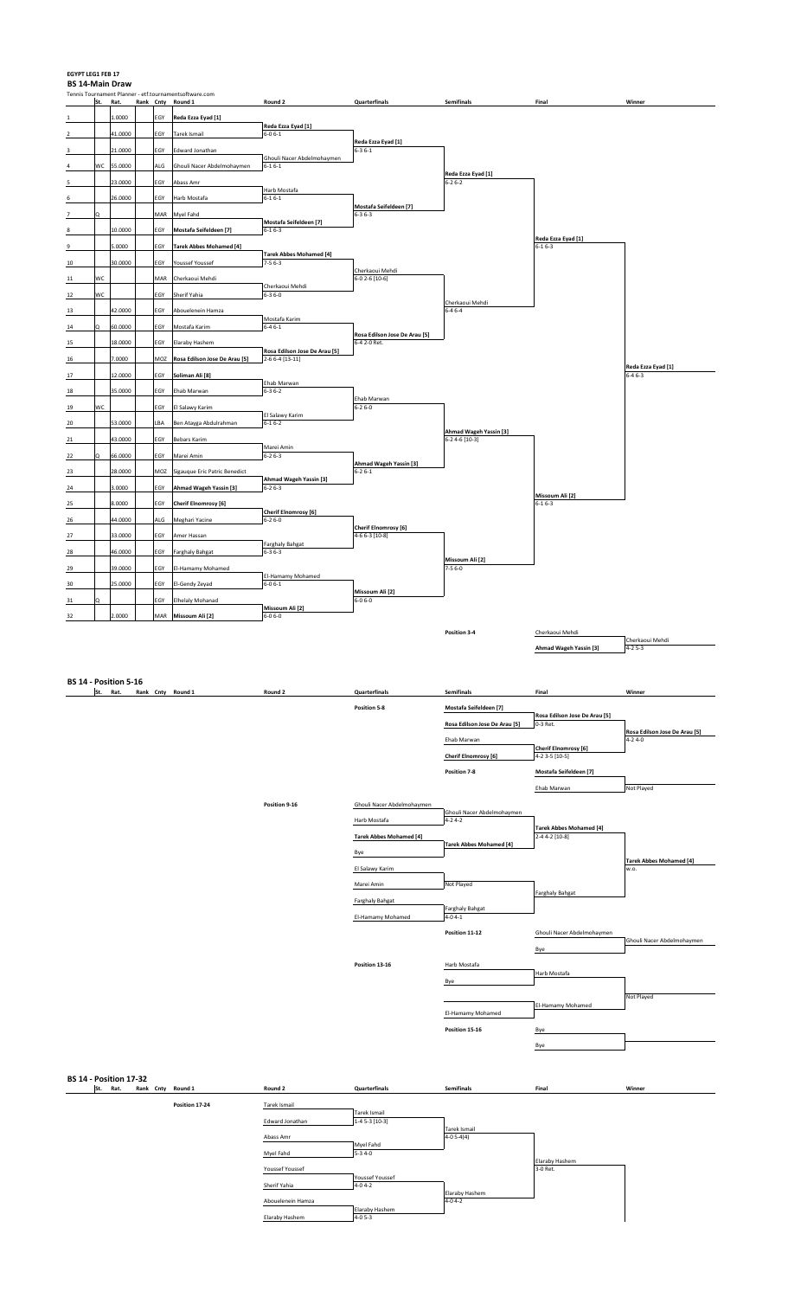#### **EGYPT LEG1 FEB 17 BS 14-Main Draw**

**BS 14 - Position 17-32**<br> **St.** Rat. Rank

|             |     |         |           |     | Tennis Tournament Planner - etf.tournamentsoftware.com |                                            |                                               |                        |                                    |                                    |
|-------------|-----|---------|-----------|-----|--------------------------------------------------------|--------------------------------------------|-----------------------------------------------|------------------------|------------------------------------|------------------------------------|
|             | St. | Rat.    | Rank Cnty |     | Round 1                                                | Round 2                                    | Quarterfinals                                 | Semifinals             | Final                              | Winner                             |
| 1           |     | L.0000  |           | EGY | Reda Ezza Eyad [1]                                     |                                            |                                               |                        |                                    |                                    |
| $\mathbf 2$ |     | 41.0000 |           | EGY | Tarek Ismail                                           | Reda Ezza Eyad [1]<br>$6 - 06 - 1$         |                                               |                        |                                    |                                    |
|             |     |         |           |     |                                                        |                                            | Reda Ezza Eyad [1]                            |                        |                                    |                                    |
| 3           |     | 21.0000 |           | EGY | Edward Jonathan                                        |                                            | $6 - 36 - 1$                                  |                        |                                    |                                    |
|             | wc  | 55.0000 |           | ALG | Ghouli Nacer Abdelmohaymen                             | Ghouli Nacer Abdelmohaymen<br>$6 - 16 - 1$ |                                               |                        |                                    |                                    |
|             |     |         |           |     |                                                        |                                            |                                               | Reda Ezza Eyad [1]     |                                    |                                    |
| 5           |     | 23.0000 |           | EGY | Abass Amr                                              | Harb Mostafa                               |                                               | $6 - 26 - 2$           |                                    |                                    |
| 6           |     | 26.0000 |           | EGY | Harb Mostafa                                           | $6 - 16 - 1$                               |                                               |                        |                                    |                                    |
|             |     |         |           | MAR | Myel Fahd                                              |                                            | Mostafa Seifeldeen [7]<br>$6 - 36 - 3$        |                        |                                    |                                    |
|             |     |         |           |     |                                                        | Mostafa Seifeldeen [7]                     |                                               |                        |                                    |                                    |
| 8           |     | 10.0000 |           | EGY | Mostafa Seifeldeen [7]                                 | $6 - 16 - 3$                               |                                               |                        |                                    |                                    |
| 9           |     | 5.0000  |           | EGY | <b>Tarek Abbes Mohamed [4]</b>                         |                                            |                                               |                        | Reda Ezza Eyad [1]<br>$6 - 16 - 3$ |                                    |
|             |     |         |           |     |                                                        | <b>Tarek Abbes Mohamed [4]</b>             |                                               |                        |                                    |                                    |
| 10          |     | 30.0000 |           | EGY | Youssef Youssef                                        | $7 - 56 - 3$                               | Cherkaoui Mehdi                               |                        |                                    |                                    |
| $11\,$      | WC  |         |           | MAR | Cherkaoui Mehdi                                        |                                            | $6-02-6$ [10-6]                               |                        |                                    |                                    |
| 12          | wc  |         |           | EGY | Sherif Yahia                                           | Cherkaoui Mehdi<br>$6 - 36 - 0$            |                                               |                        |                                    |                                    |
|             |     |         |           |     |                                                        |                                            |                                               | Cherkaoui Mehdi        |                                    |                                    |
| 13          |     | 42.0000 |           | EGY | Abouelenein Hamza                                      |                                            |                                               | $6 - 46 - 4$           |                                    |                                    |
| $14\,$      |     | 60.0000 |           | EGY | Mostafa Karim                                          | Mostafa Karim<br>$6 - 46 - 1$              |                                               |                        |                                    |                                    |
|             |     |         |           |     |                                                        |                                            | Rosa Edilson Jose De Arau [5]                 |                        |                                    |                                    |
| 15          |     | 18.0000 |           | EGY | Elaraby Hashem                                         | Rosa Edilson Jose De Arau [5]              | $6-42-0$ Ret.                                 |                        |                                    |                                    |
| 16          |     | 7.0000  |           | MOZ | Rosa Edilson Jose De Arau [5]                          | $2 - 6 - 4 [13 - 11]$                      |                                               |                        |                                    |                                    |
| 17          |     | 12.0000 |           | EGY | Soliman Ali [8]                                        |                                            |                                               |                        |                                    | Reda Ezza Eyad [1]<br>$6 - 46 - 3$ |
|             |     |         |           |     |                                                        | Ehab Marwan                                |                                               |                        |                                    |                                    |
| 18          |     | 35.0000 |           | EGY | Ehab Marwan                                            | $6 - 36 - 2$                               |                                               |                        |                                    |                                    |
| 19          | WC  |         |           | EGY | El Salawy Karim                                        |                                            | Ehab Marwan<br>$6 - 26 - 0$                   |                        |                                    |                                    |
|             |     |         |           |     |                                                        | El Salawy Karim                            |                                               |                        |                                    |                                    |
| 20          |     | 53.0000 |           | LBA | Ben Atayga Abdulrahman                                 | $6 - 16 - 2$                               |                                               | Ahmad Wageh Yassin [3] |                                    |                                    |
| 21          |     | 43.0000 |           | EGY | <b>Bebars Karim</b>                                    |                                            |                                               | 6-2 4-6 [10-3]         |                                    |                                    |
| 22          |     | 66.0000 |           | EGY | Marei Amin                                             | Marei Amin<br>$6 - 26 - 3$                 |                                               |                        |                                    |                                    |
|             |     |         |           |     |                                                        |                                            | Ahmad Wageh Yassin [3]                        |                        |                                    |                                    |
| 23          |     | 28.0000 |           | MOZ | Sigauque Eric Patric Benedict                          |                                            | $6 - 26 - 1$                                  |                        |                                    |                                    |
| 24          |     | 3.0000  |           | EGY | Ahmad Wageh Yassin [3]                                 | Ahmad Wageh Yassin [3]<br>$6 - 26 - 3$     |                                               |                        |                                    |                                    |
|             |     |         |           |     |                                                        |                                            |                                               |                        | Missoum Ali [2]                    |                                    |
| 25          |     | 8.0000  |           | EGY | Cherif Elnomrosy [6]                                   | <b>Cherif Elnomrosy</b> [6]                |                                               |                        | $6 - 16 - 3$                       |                                    |
| 26          |     | 44.0000 |           | ALG | Meghari Yacine                                         | $6 - 26 - 0$                               |                                               |                        |                                    |                                    |
| 27          |     | 33.0000 |           | EGY | Amer Hassan                                            |                                            | <b>Cherif Elnomrosy</b> [6]<br>4-6 6-3 [10-8] |                        |                                    |                                    |
|             |     |         |           |     |                                                        | <b>Farghaly Bahgat</b>                     |                                               |                        |                                    |                                    |
| 28          |     | 46.0000 |           | EGY | <b>Farghaly Bahgat</b>                                 | $6 - 36 - 3$                               |                                               | Missoum Ali [2]        |                                    |                                    |
| 29          |     | 39.0000 |           | EGY | El-Hamamy Mohamed                                      |                                            |                                               | $7 - 56 - 0$           |                                    |                                    |
|             |     |         |           |     |                                                        | El-Hamamy Mohamed                          |                                               |                        |                                    |                                    |
| 30          |     | 25.0000 |           | EGY | El-Gendy Zeyad                                         | $6 - 06 - 1$                               | Missoum Ali [2]                               |                        |                                    |                                    |
| 31          | Ò   |         |           | EGY | <b>Elhelaly Mohanad</b>                                |                                            | $6 - 06 - 0$                                  |                        |                                    |                                    |
| 32          |     | 2.0000  |           | MAR | Missoum Ali [2]                                        | Missoum Ali [2]<br>$6 - 06 - 0$            |                                               |                        |                                    |                                    |
|             |     |         |           |     |                                                        |                                            |                                               |                        |                                    |                                    |
|             |     |         |           |     |                                                        |                                            |                                               | Position 3-4           | Cherkaoui Mehdi                    |                                    |
|             |     |         |           |     |                                                        |                                            |                                               |                        | Ahmad Wageh Yassin [3]             | Cherkaoui Mehdi<br>$4 - 25 - 3$    |
|             |     |         |           |     |                                                        |                                            |                                               |                        |                                    |                                    |
|             |     |         |           |     |                                                        |                                            |                                               |                        |                                    |                                    |

**BS 14 - Position 5-16**<br>**St.** Rat. Rank St. Rat. Rank Cnty Round 1 Round 2 Quarterfinals Semifinals Final Winner **Position 5-8 Mostafa Seifeldeen [7] Rosa Edilson Jose De Arau [5] Rosa Edilson Jose De Arau [5]** 0-3 Ret. **Rosa Edilson Jose De Arau [5]**  Ehab Marwan **Cherif Elnomrosy [6]**<br>4-2 3-5 [10-5] **Cherif Elnomrosy [6] Position 7-8 Mostafa Seifeldeen [7]**  Ehab Marwan Not Played **Position 9-16 Ghouli Nacer Abdelmohayment** Ghouli Nacer Abdelmohaymen Harb Mostafa **Tarek Abbes Mohamed [4] Tarek Abbes Mohamed [4] Tarek Abbes Mohamed [4]**  Bye **Tarek Abbes Mohamed [4]**  El Salawy Karim Marei Amin Not Played Farghaly Bahgat Farghaly Bahgat Farghaly Bahgat<br>4-04-1 El-Hamamy Moha **Position 11-12 Ghouli Nacer Abdelmohayment** Ghouli Nacer Abdelmohaymen Bye **Position 13-16 Harb Mostafa** Harb Mostafa Bye ot Played **El-Hamamy Moh** El-Hamamy Mohamed Bye **Position 15-16** Bye

St. Rat. Rank Cnty Round 1 Round 2 Quarterfinals Semifinals Final Winner **Position 17-24 Tarek Ismail** Tarek Ismail<br>1-4 5-3 [10-3] Edward Jonathan Tarek Ismai<br>4-0 5-4(4) Abass Amr Myel Fahd<br>5-3 4-0 Myel Fahd Elaraby Hashe<br>3-0 Ret. Youssef Youssef 3-0 Ret. Youssef Youssef Sherif Yahia Elaraby<br>4-04-2 Abouelenein Hamza Elaraby Hashen<br>4-0 5-3 Elaraby Hashem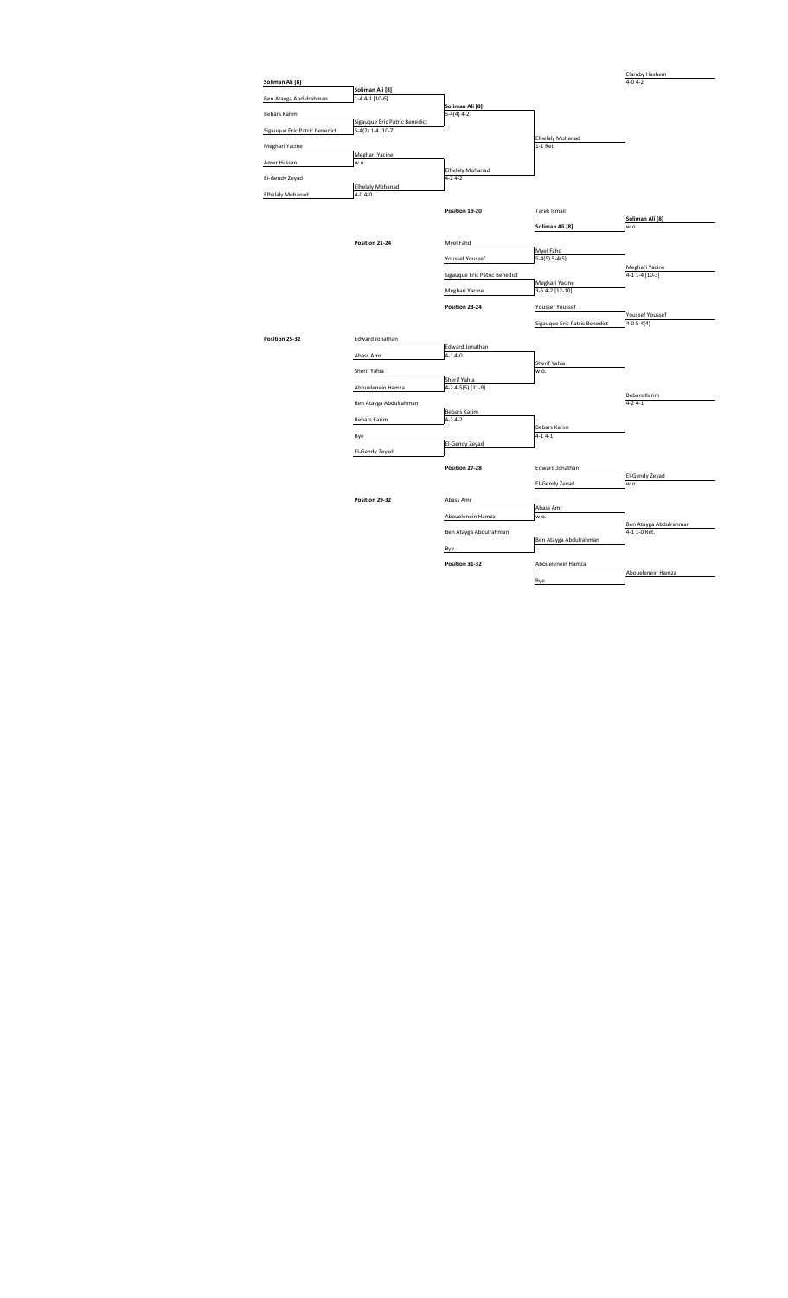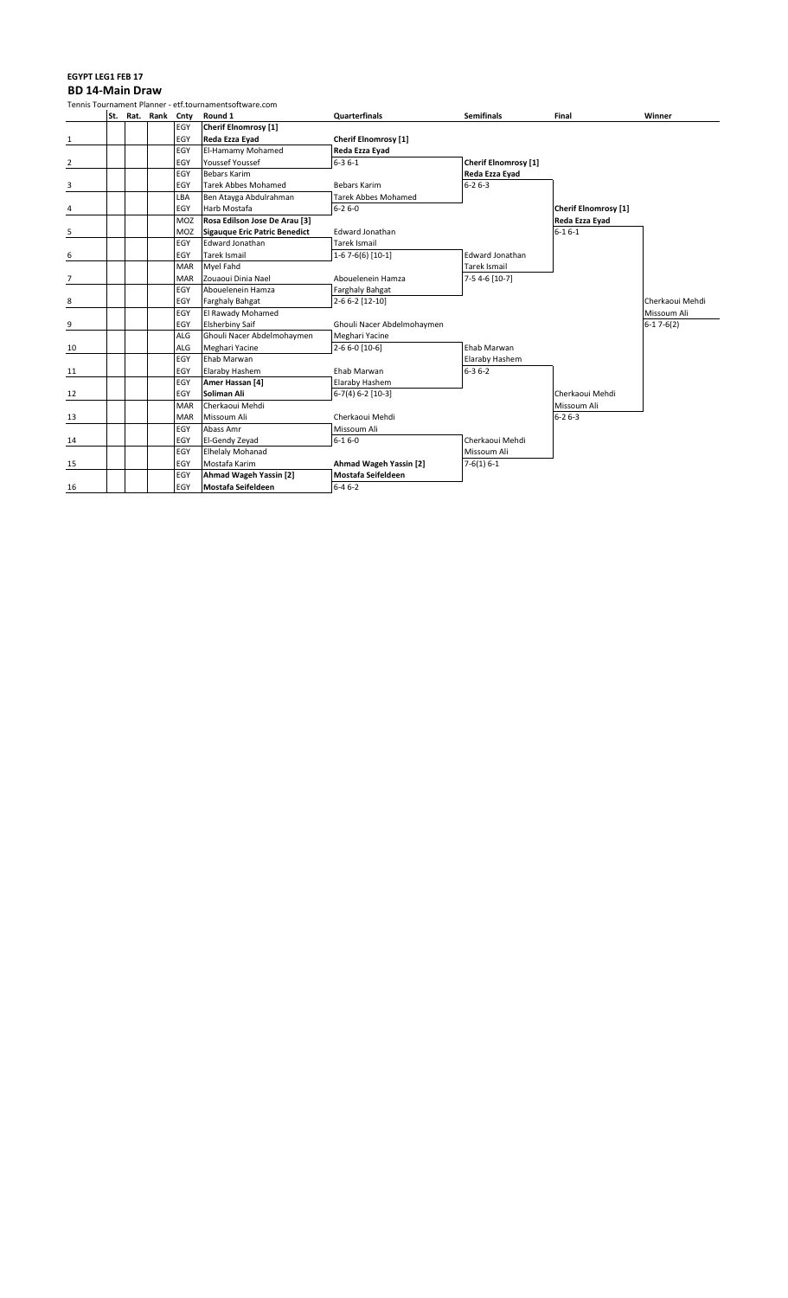# **EGYPT LEG1 FEB 17**

**BD 14-Main Draw**<br>Tennis Tournament Planner

|    |  |               |            | Tennis Tournament Planner - etf.tournamentsoftware.com |                             |                      |                             |                 |
|----|--|---------------|------------|--------------------------------------------------------|-----------------------------|----------------------|-----------------------------|-----------------|
|    |  | St. Rat. Rank | Cnty       | Round 1                                                | <b>Quarterfinals</b>        | <b>Semifinals</b>    | Final                       | Winner          |
|    |  |               | EGY        | <b>Cherif Elnomrosy [1]</b>                            |                             |                      |                             |                 |
| 1  |  |               | EGY        | Reda Ezza Eyad                                         | <b>Cherif Elnomrosy [1]</b> |                      |                             |                 |
|    |  |               | EGY        | El-Hamamy Mohamed                                      | Reda Ezza Eyad              |                      |                             |                 |
| 2  |  |               | EGY        | Youssef Youssef                                        | $6 - 36 - 1$                | Cherif Elnomrosy [1] |                             |                 |
|    |  |               | EGY        | <b>Bebars Karim</b>                                    |                             | Reda Ezza Eyad       |                             |                 |
| 3  |  |               | EGY        | <b>Tarek Abbes Mohamed</b>                             | <b>Bebars Karim</b>         | $6 - 26 - 3$         |                             |                 |
|    |  |               | LBA        | Ben Atayga Abdulrahman                                 | Tarek Abbes Mohamed         |                      |                             |                 |
| 4  |  |               | EGY        | Harb Mostafa                                           | $6 - 26 - 0$                |                      | <b>Cherif Elnomrosy [1]</b> |                 |
|    |  |               | MOZ        | Rosa Edilson Jose De Arau [3]                          |                             |                      | Reda Ezza Eyad              |                 |
| 5  |  |               | MOZ        | <b>Sigauque Eric Patric Benedict</b>                   | Edward Jonathan             |                      | $6 - 16 - 1$                |                 |
|    |  |               | EGY        | <b>Edward Jonathan</b>                                 | Tarek Ismail                |                      |                             |                 |
| 6  |  |               | EGY        | <b>Tarek Ismail</b>                                    | 1-6 7-6(6) [10-1]           | Edward Jonathan      |                             |                 |
|    |  |               | MAR        | Myel Fahd                                              |                             | Tarek Ismail         |                             |                 |
| 7  |  |               | <b>MAR</b> | Zouaoui Dinia Nael                                     | Abouelenein Hamza           | 7-5 4-6 [10-7]       |                             |                 |
|    |  |               | EGY        | Abouelenein Hamza                                      | Farghaly Bahgat             |                      |                             |                 |
| 8  |  |               | EGY        | Farghaly Bahgat                                        | 2-6 6-2 [12-10]             |                      |                             | Cherkaoui Mehdi |
|    |  |               | EGY        | El Rawady Mohamed                                      |                             |                      |                             | Missoum Ali     |
| 9  |  |               | EGY        | <b>Elsherbiny Saif</b>                                 | Ghouli Nacer Abdelmohaymen  |                      |                             | $6-17-6(2)$     |
|    |  |               | <b>ALG</b> | Ghouli Nacer Abdelmohaymen                             | Meghari Yacine              |                      |                             |                 |
| 10 |  |               | ALG        | Meghari Yacine                                         | 2-6 6-0 [10-6]              | Ehab Marwan          |                             |                 |
|    |  |               | EGY        | Ehab Marwan                                            |                             | Elaraby Hashem       |                             |                 |
| 11 |  |               | EGY        | Elaraby Hashem                                         | Ehab Marwan                 | $6 - 36 - 2$         |                             |                 |
|    |  |               | EGY        | Amer Hassan [4]                                        | Elaraby Hashem              |                      |                             |                 |
| 12 |  |               | EGY        | Soliman Ali                                            | $6-7(4) 6-2 [10-3]$         |                      | Cherkaoui Mehdi             |                 |
|    |  |               | <b>MAR</b> | Cherkaoui Mehdi                                        |                             |                      | Missoum Ali                 |                 |
| 13 |  |               | <b>MAR</b> | Missoum Ali                                            | Cherkaoui Mehdi             |                      | $6 - 26 - 3$                |                 |
|    |  |               | EGY        | Abass Amr                                              | Missoum Ali                 |                      |                             |                 |
| 14 |  |               | EGY        | El-Gendy Zeyad                                         | $6 - 16 - 0$                | Cherkaoui Mehdi      |                             |                 |
|    |  |               | EGY        | <b>Elhelaly Mohanad</b>                                |                             | Missoum Ali          |                             |                 |
| 15 |  |               | EGY        | Mostafa Karim                                          | Ahmad Wageh Yassin [2]      | $7-6(1) 6-1$         |                             |                 |
|    |  |               | EGY        | Ahmad Wageh Yassin [2]                                 | <b>Mostafa Seifeldeen</b>   |                      |                             |                 |
| 16 |  |               | EGY        | <b>Mostafa Seifeldeen</b>                              | $6 - 46 - 2$                |                      |                             |                 |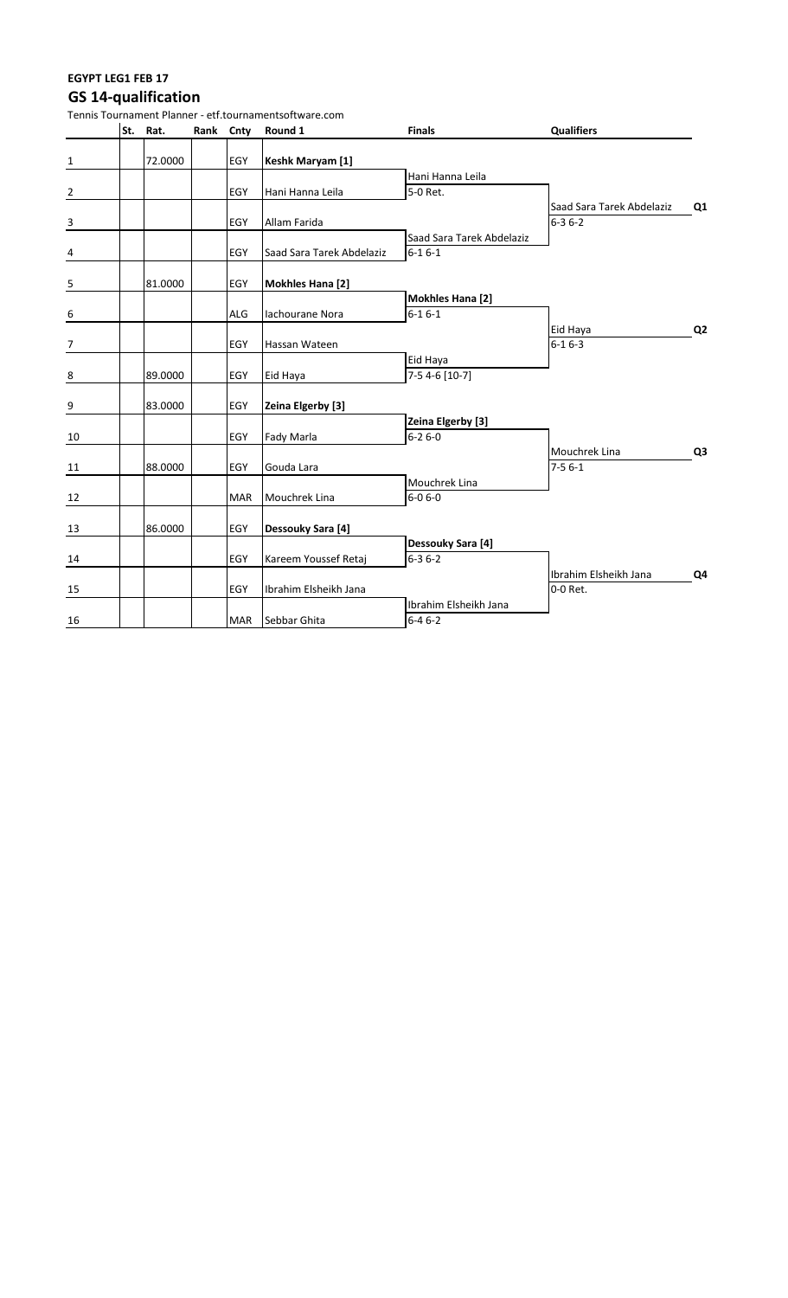### **EGYPT LEG1 FEB 17 GS 14-qualification**

| Tennis Tournament Planner - etf.tournamentsoftware.com |  |          |           |            |                           |                                           |                                           |                |  |  |
|--------------------------------------------------------|--|----------|-----------|------------|---------------------------|-------------------------------------------|-------------------------------------------|----------------|--|--|
|                                                        |  | St. Rat. | Rank Cnty |            | Round 1                   | <b>Finals</b>                             | <b>Qualifiers</b>                         |                |  |  |
| $\mathbf{1}$                                           |  | 72.0000  |           | <b>EGY</b> | Keshk Maryam [1]          |                                           |                                           |                |  |  |
| $\overline{2}$                                         |  |          |           | <b>EGY</b> | Hani Hanna Leila          | Hani Hanna Leila<br>5-0 Ret.              |                                           |                |  |  |
| $\overline{3}$                                         |  |          |           | <b>EGY</b> | Allam Farida              |                                           | Saad Sara Tarek Abdelaziz<br>$6 - 36 - 2$ | Q1             |  |  |
| $\frac{4}{1}$                                          |  |          |           | <b>EGY</b> | Saad Sara Tarek Abdelaziz | Saad Sara Tarek Abdelaziz<br>$6 - 16 - 1$ |                                           |                |  |  |
| $\overline{\mathbf{5}}$                                |  | 81.0000  |           | EGY        | <b>Mokhles Hana [2]</b>   |                                           |                                           |                |  |  |
|                                                        |  |          |           | <b>ALG</b> | lachourane Nora           | <b>Mokhles Hana [2]</b><br>$6 - 16 - 1$   |                                           |                |  |  |
| $\begin{array}{c} 6 \end{array}$                       |  |          |           |            |                           |                                           | Eid Haya                                  | Q <sub>2</sub> |  |  |
| $\overline{7}$                                         |  |          |           | <b>EGY</b> | Hassan Wateen             |                                           | $6 - 16 - 3$                              |                |  |  |
| $\,$ 8 $\,$                                            |  | 89.0000  |           | EGY        | Eid Haya                  | Eid Haya<br>$7-54-6$ [10-7]               |                                           |                |  |  |
| 9                                                      |  | 83.0000  |           | <b>EGY</b> | Zeina Elgerby [3]         |                                           |                                           |                |  |  |
| 10                                                     |  |          |           | <b>EGY</b> | Fady Marla                | Zeina Elgerby [3]<br>$6 - 26 - 0$         |                                           |                |  |  |
| 11                                                     |  | 88.0000  |           | <b>EGY</b> | Gouda Lara                |                                           | Mouchrek Lina<br>$7-56-1$                 | Q <sub>3</sub> |  |  |
| 12                                                     |  |          |           | <b>MAR</b> | Mouchrek Lina             | Mouchrek Lina<br>$6 - 06 - 0$             |                                           |                |  |  |
| 13                                                     |  | 86.0000  |           | EGY        | Dessouky Sara [4]         |                                           |                                           |                |  |  |
| 14                                                     |  |          |           | EGY        | Kareem Youssef Retaj      | Dessouky Sara [4]<br>$6 - 36 - 2$         |                                           |                |  |  |
| 15                                                     |  |          |           | <b>EGY</b> | Ibrahim Elsheikh Jana     |                                           | Ibrahim Elsheikh Jana<br>0-0 Ret.         | Q4             |  |  |
| 16                                                     |  |          |           | MAR        | Sebbar Ghita              | Ibrahim Elsheikh Jana<br>$6 - 46 - 2$     |                                           |                |  |  |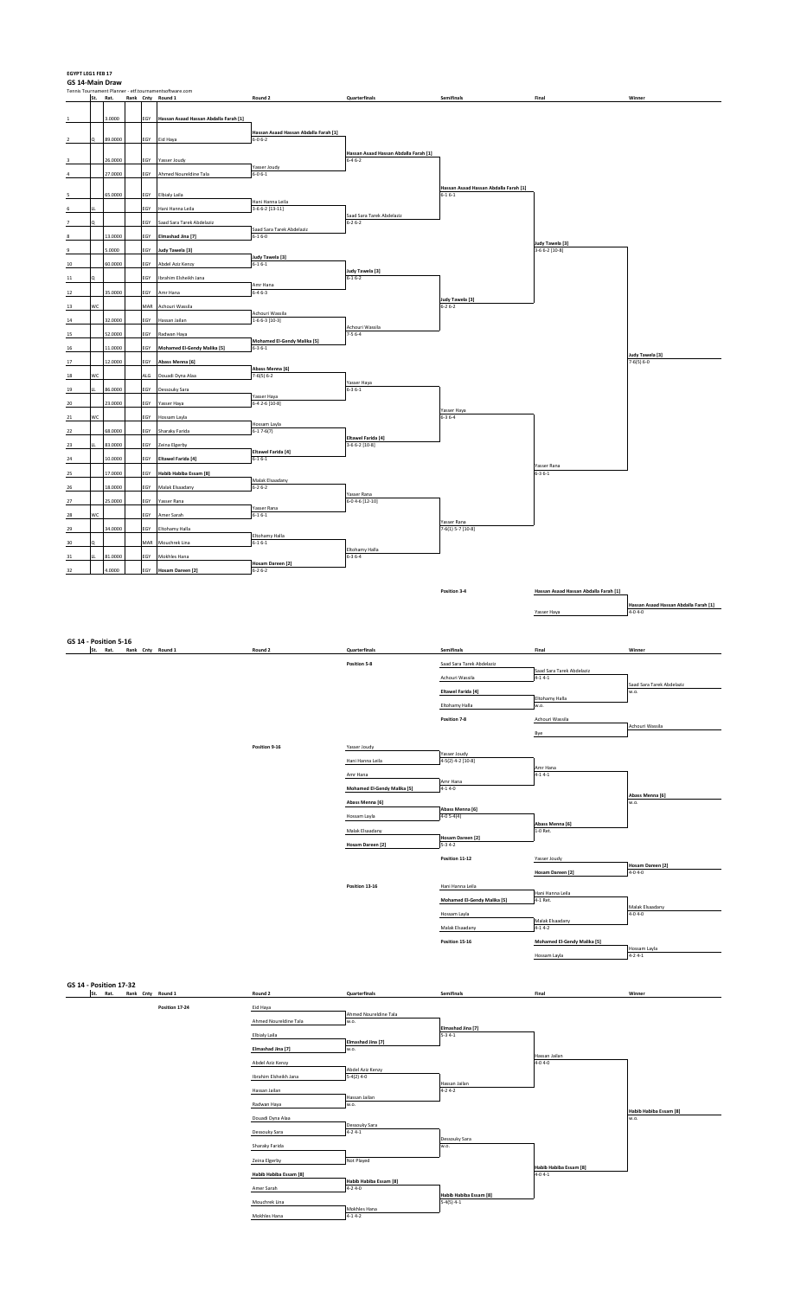| <b>EGYPT LEG1 FEB 17</b><br>GS 14-Main Draw<br>Tennis Tournament Planner - etf.tournamentsoftware.com |          |                    |  |            |                                                     |                                                        |                                                       |                                                       |                                        |                                                 |  |
|-------------------------------------------------------------------------------------------------------|----------|--------------------|--|------------|-----------------------------------------------------|--------------------------------------------------------|-------------------------------------------------------|-------------------------------------------------------|----------------------------------------|-------------------------------------------------|--|
|                                                                                                       | St. Rat. |                    |  |            | Rank Cnty Round 1                                   | Round 2                                                | Quarterfinals                                         | Semifinals                                            | Final                                  | Winner                                          |  |
| $\overline{1}$                                                                                        |          | 3.0000             |  | EGY        | Hassan Asaad Hassan Abdalla Farah [1]               |                                                        |                                                       |                                                       |                                        |                                                 |  |
| $\overline{\mathbf{z}}$                                                                               | Q        | 89.0000            |  | EGY        | Eid Haya                                            | Hassan Asaad Hassan Abdalla Farah [1]<br>$6 - 0 6 - 2$ |                                                       |                                                       |                                        |                                                 |  |
| 3                                                                                                     |          | 26.0000            |  | EGY        | Yasser Joudy                                        |                                                        | Hassan Asaad Hassan Abdalla Farah [1]<br>$6 - 46 - 2$ |                                                       |                                        |                                                 |  |
|                                                                                                       |          | 27.0000            |  | EGY        | Ahmed Noureldine Tala                               | Yasser Joudy<br>$6 - 0 6 - 1$                          |                                                       |                                                       |                                        |                                                 |  |
| 5                                                                                                     |          | 65.0000            |  | EGY        | <b>Elbialy Laila</b>                                |                                                        |                                                       | Hassan Asaad Hassan Abdalla Farah [1]<br>$6 - 16 - 1$ |                                        |                                                 |  |
| 6                                                                                                     |          |                    |  | EGY        | Hani Hanna Leila                                    | Hani Hanna Leila<br>$3-66-2$ [13-11]                   | Saad Sara Tarek Abdelaziz                             |                                                       |                                        |                                                 |  |
| 7                                                                                                     | o        |                    |  | EGY        | Saad Sara Tarek Abdelaziz                           | Saad Sara Tarek Abdelaziz                              | $6 - 26 - 2$                                          |                                                       |                                        |                                                 |  |
| 8                                                                                                     |          | 13.0000            |  | EGY        | Elmashad Jina [7]                                   | $6 - 16 - 0$                                           |                                                       |                                                       | Judy Tawela [3]                        |                                                 |  |
| 9<br>$10\,$                                                                                           |          | 5.0000<br>60.0000  |  | EGY<br>EGY | Judy Tawela [3]<br>Abdel Aziz Kenzy                 | Judy Tawela [3]<br>$6-16-1$                            |                                                       |                                                       | 3-6 6-2 [10-8]                         |                                                 |  |
| 11                                                                                                    | o        |                    |  | EGY        | Ibrahim Elsheikh Jana                               | Amr Hana                                               | Judy Tawela [3]<br>$6 - 16 - 2$                       |                                                       |                                        |                                                 |  |
| 12                                                                                                    |          | 35.0000            |  | EGY        | Amr Hana                                            | $6-46-3$                                               |                                                       | Judy Tawela [3]                                       |                                        |                                                 |  |
| $13\,$                                                                                                | wc       |                    |  | MAR        | Achouri Wassila                                     | Achouri Wassila                                        |                                                       | $6 - 26 - 2$                                          |                                        |                                                 |  |
| 14<br>15                                                                                              |          | 32.0000<br>52.0000 |  | EGY<br>EGY | Hassan Jailan<br>Radwan Haya                        | $1-66-3$ [10-3]                                        | Achouri Wassila<br>$7-56-4$                           |                                                       |                                        |                                                 |  |
| 16                                                                                                    |          | 11.0000            |  | EGY        | Mohamed El-Gendy Malika [5]                         | Mohamed El-Gendy Malika [5]<br>$6 - 36 - 1$            |                                                       |                                                       |                                        | Judy Tawela [3]                                 |  |
| $17\,$                                                                                                |          | 12.0000            |  | EGY        | Abass Menna [6]                                     | Abass Menna [6]                                        |                                                       |                                                       |                                        | $7-6(5) 6-0$                                    |  |
| $18\,$                                                                                                | wc<br>ш  | 86.0000            |  | ALG        | Douadi Dyna Alaa                                    | $7-6(5) 6-2$                                           | Yasser Haya                                           |                                                       |                                        |                                                 |  |
| 19<br>20                                                                                              |          | 23.0000            |  | EGY<br>EGY | Dessouky Sara<br>Yasser Haya                        | Yasser Haya<br>6-4 2-6 [10-8]                          | $6 - 36 - 1$                                          |                                                       |                                        |                                                 |  |
| 21                                                                                                    | WC       |                    |  | EGY        | Hossam Layla                                        |                                                        |                                                       | Yasser Haya<br>$6 - 36 - 4$                           |                                        |                                                 |  |
| 22                                                                                                    |          | 68.0000            |  | EGY        | Sharaky Farida                                      | Hossam Layla<br>$6-17-6(7)$                            | Eltawel Farida [4]                                    |                                                       |                                        |                                                 |  |
| $23\,$                                                                                                | ш        | 83.0000            |  | EGY        | Zeina Elgerby                                       | Eltawel Farida [4]                                     | $3-66-2$ [10-8]                                       |                                                       |                                        |                                                 |  |
| 24<br>25                                                                                              |          | 10.0000<br>17.0000 |  | EGY<br>EGY | <b>Eltawel Farida [4]</b><br>Habib Habiba Essam [8] | $6 - 16 - 1$                                           |                                                       |                                                       | Yasser Rana<br>$6 - 36 - 1$            |                                                 |  |
| $rac{26}{1}$                                                                                          |          | 18.0000            |  | EGY        | Malak Elsaadany                                     | Malak Elsaadany<br>$6 - 26 - 2$                        |                                                       |                                                       |                                        |                                                 |  |
| $27\,$                                                                                                |          | 25.0000            |  | EGY        | Yasser Rana                                         | Yasser Rana                                            | Yasser Rana<br>$6 - 04 - 6[12 - 10]$                  |                                                       |                                        |                                                 |  |
| 28                                                                                                    | wc       |                    |  | EGY        | Amer Sarah                                          | $6-16-1$                                               |                                                       | Yasser Rana                                           |                                        |                                                 |  |
| 29<br>30                                                                                              |          | 34.0000            |  | EGY<br>MAR | Eltohamy Halla<br>Mouchrek Lina                     | Eltohamy Halla<br>$6-16-1$                             |                                                       | 7-6(1) 5-7 [10-8]                                     |                                        |                                                 |  |
| 31                                                                                                    |          | 81.0000            |  | EGY        | Mokhles Hana                                        |                                                        | Eltohamy Halla<br>$6 - 36 - 4$                        |                                                       |                                        |                                                 |  |
| 32                                                                                                    |          | 4.0000             |  | EGY        | <b>Hosam Dareen [2]</b>                             | <b>Hosam Dareen [2]</b><br>$6 - 26 - 2$                |                                                       |                                                       |                                        |                                                 |  |
|                                                                                                       |          |                    |  |            |                                                     |                                                        |                                                       | Position 3-4                                          | Hassan Asaad Hassan Abdalla Farah [1]  |                                                 |  |
|                                                                                                       |          |                    |  |            |                                                     |                                                        |                                                       |                                                       | Yasser Haya                            | Hassan Asaad Hassan Abdalla Farah [1]<br>4-04-0 |  |
|                                                                                                       |          |                    |  |            |                                                     |                                                        |                                                       |                                                       |                                        |                                                 |  |
| GS 14 - Position 5-16                                                                                 |          |                    |  |            |                                                     |                                                        |                                                       |                                                       |                                        |                                                 |  |
|                                                                                                       |          |                    |  |            |                                                     | Round 2                                                |                                                       | Somifinale                                            |                                        |                                                 |  |
|                                                                                                       |          |                    |  |            | St. Rat. Rank Cnty Round 1                          |                                                        | <b>Quarterfinals</b><br>Position 5-8                  | Saad Sara Tarek Abdelaziz                             | Final                                  | Winner                                          |  |
|                                                                                                       |          |                    |  |            |                                                     |                                                        |                                                       | Achouri Wassila                                       | Saad Sara Tarek Abdelaziz<br>$4-14-1$  |                                                 |  |
|                                                                                                       |          |                    |  |            |                                                     |                                                        |                                                       | Eltawel Farida [4]                                    | Eltohamy Halla                         | Saad Sara Tarek Abdelaziz<br>w.o.               |  |
|                                                                                                       |          |                    |  |            |                                                     |                                                        |                                                       | Eltohamy Halla                                        | w.o.                                   |                                                 |  |
|                                                                                                       |          |                    |  |            |                                                     |                                                        |                                                       | Position 7-8                                          | Achouri Wassila<br>Bye                 | Achouri Wassila                                 |  |
|                                                                                                       |          |                    |  |            |                                                     | Position 9-16                                          | Yasser Joudy                                          |                                                       |                                        |                                                 |  |
|                                                                                                       |          |                    |  |            |                                                     |                                                        | Hani Hanna Leila                                      | Yasser Joudy<br>4-5(2) 4-2 [10-8]                     | Amr Hana                               |                                                 |  |
|                                                                                                       |          |                    |  |            |                                                     |                                                        | Amr Hana                                              | Amr Hana                                              | $4-14-1$                               |                                                 |  |
|                                                                                                       |          |                    |  |            |                                                     |                                                        | <b>Mohamed El-Gendy Malika [5]</b><br>Abass Menna [6] | $4-14-0$                                              |                                        | Abass Menna [6]<br>w.o.                         |  |
|                                                                                                       |          |                    |  |            |                                                     |                                                        | Hossam Layla                                          | Abass Menna [6]<br>$4-05-4(4)$                        |                                        |                                                 |  |
|                                                                                                       |          |                    |  |            |                                                     |                                                        | Malak Elsaadany                                       | Hosam Dareen [2]                                      | Abass Menna [6]<br>1-0 Ret.            |                                                 |  |
|                                                                                                       |          |                    |  |            |                                                     |                                                        | Hosam Dareen [2]                                      | $5 - 34 - 2$                                          |                                        |                                                 |  |
|                                                                                                       |          |                    |  |            |                                                     |                                                        |                                                       | Position 11-12                                        | Yasser Joudy<br>Hosam Dareen [2]       | Hosam Dareen [2]<br>$4 - 04 - 0$                |  |
|                                                                                                       |          |                    |  |            |                                                     |                                                        | Position 13-16                                        | Hani Hanna Leila                                      | Hani Hanna Leila                       |                                                 |  |
|                                                                                                       |          |                    |  |            |                                                     |                                                        |                                                       | Mohamed El-Gendy Malika [5]                           | 4-1 Ret.                               | Malak Elsaadany                                 |  |
|                                                                                                       |          |                    |  |            |                                                     |                                                        |                                                       | Hossam Layla                                          | Malak Elsaadany<br>$4-14-2$            | $4 - 04 - 0$                                    |  |
|                                                                                                       |          |                    |  |            |                                                     |                                                        |                                                       | Malak Elsaadany<br>Position 15-16                     | <b>Mohamed El-Gendy Malika [5]</b>     |                                                 |  |
|                                                                                                       |          |                    |  |            |                                                     |                                                        |                                                       |                                                       | Hossam Layla                           | Hossam Layla<br>$4 - 24 - 1$                    |  |
|                                                                                                       |          |                    |  |            |                                                     |                                                        |                                                       |                                                       |                                        |                                                 |  |
| <b>GS 14 - Position 17-32</b>                                                                         | St. Rat. |                    |  |            | Rank Cnty Round 1                                   | Round 2                                                | Quarterfinals                                         | Semifinals                                            | Final                                  | Winner                                          |  |
|                                                                                                       |          |                    |  |            | Position 17-24                                      | Eid Haya                                               | Ahmed Noureldine Tala                                 |                                                       |                                        |                                                 |  |
|                                                                                                       |          |                    |  |            |                                                     | Ahmed Noureldine Tala                                  | w.o.                                                  | Elmashad Jina [7]                                     |                                        |                                                 |  |
|                                                                                                       |          |                    |  |            |                                                     | Elbialy Laila<br>Elmashad Jina [7]                     | Elmashad Jina [7]<br>w.o.                             | $5-34-1$                                              |                                        |                                                 |  |
|                                                                                                       |          |                    |  |            |                                                     | Abdel Aziz Kenzy                                       |                                                       |                                                       | Hassan Jailan<br>$4 - 04 - 0$          |                                                 |  |
|                                                                                                       |          |                    |  |            |                                                     | Ibrahim Elsheikh Jana                                  | Abdel Aziz Kenzy<br>$5-4(2)$ 4-0                      | Hassan Jailan                                         |                                        |                                                 |  |
|                                                                                                       |          |                    |  |            |                                                     | Hassan Jailan<br>Radwan Haya                           | Hassan Jailan<br>w.o.                                 | $4 - 24 - 2$                                          |                                        |                                                 |  |
|                                                                                                       |          |                    |  |            |                                                     | Douadi Dyna Alaa                                       |                                                       |                                                       |                                        | Habib Habiba Essam [8]<br>w.o.                  |  |
|                                                                                                       |          |                    |  |            |                                                     | Dessouky Sara                                          | Dessouky Sara<br>$4 - 24 - 1$                         | Dessouky Sara                                         |                                        |                                                 |  |
|                                                                                                       |          |                    |  |            |                                                     | Sharaky Farida                                         |                                                       | w.o.                                                  |                                        |                                                 |  |
|                                                                                                       |          |                    |  |            |                                                     | Zeina Elgerby<br>Habib Habiba Essam [8]                | Not Played                                            |                                                       | Habib Habiba Essam [8]<br>$4 - 04 - 1$ |                                                 |  |
|                                                                                                       |          |                    |  |            |                                                     | Amer Sarah                                             | Habib Habiba Essam [8]<br>$4 - 24 - 0$                |                                                       |                                        |                                                 |  |
|                                                                                                       |          |                    |  |            |                                                     | Mouchrek Lina<br>Mokhles Hana                          | Mokhles Hana<br>$4-14-2$                              | Habib Habiba Essam [8]<br>$5-4(5)$ 4-1                |                                        |                                                 |  |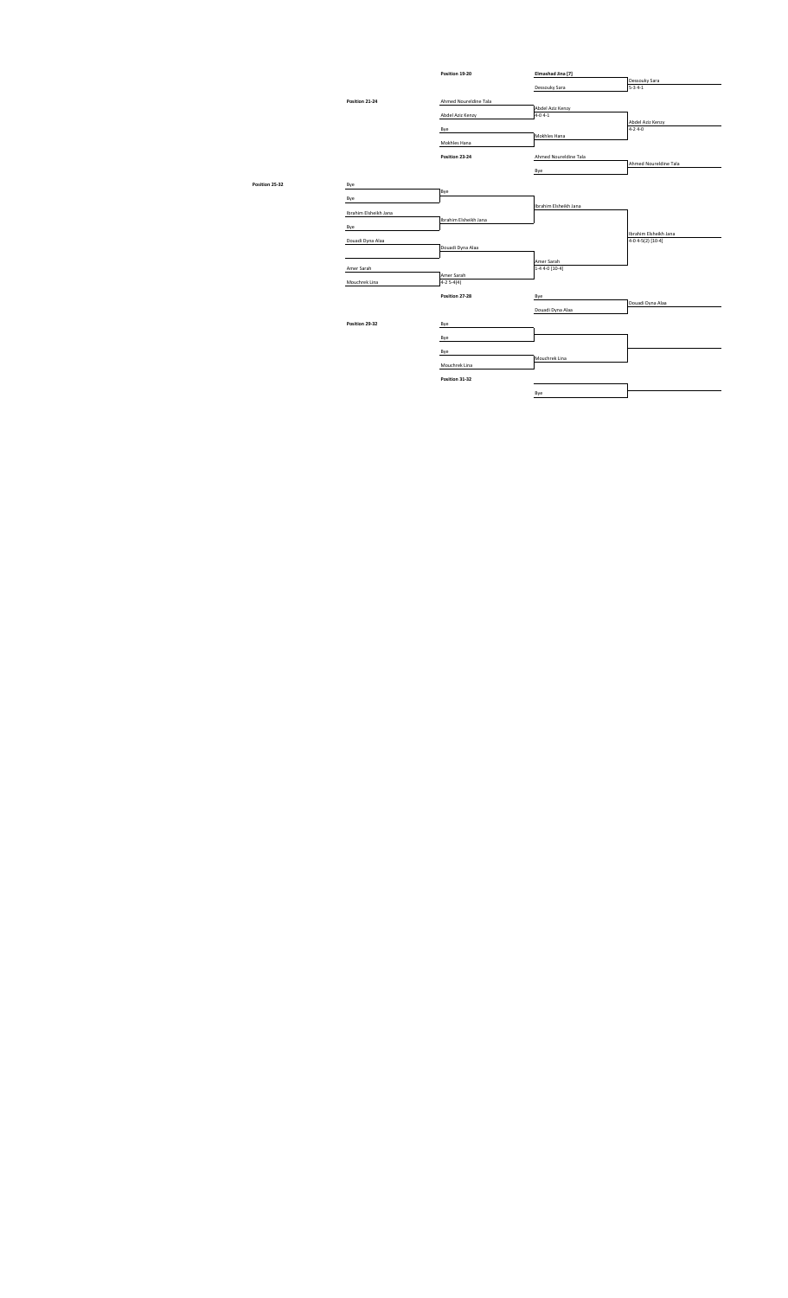